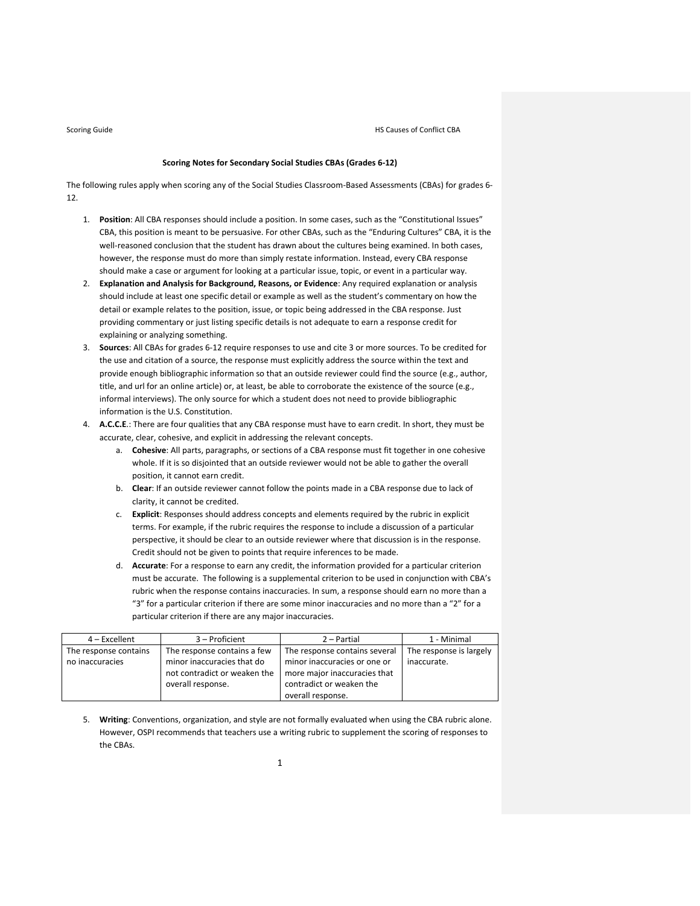### **Scoring Notes for Secondary Social Studies CBAs (Grades 6‐12)**

The following rules apply when scoring any of the Social Studies Classroom‐Based Assessments (CBAs) for grades 6‐ 12.

- 1. **Position**: All CBA responses should include a position. In some cases, such as the "Constitutional Issues" CBA, this position is meant to be persuasive. For other CBAs, such as the "Enduring Cultures" CBA, it is the well-reasoned conclusion that the student has drawn about the cultures being examined. In both cases, however, the response must do more than simply restate information. Instead, every CBA response should make a case or argument for looking at a particular issue, topic, or event in a particular way.
- 2. **Explanation and Analysis for Background, Reasons, or Evidence**: Any required explanation or analysis should include at least one specific detail or example as well as the student's commentary on how the detail or example relates to the position, issue, or topic being addressed in the CBA response. Just providing commentary or just listing specific details is not adequate to earn a response credit for explaining or analyzing something.
- 3. **Sources**: All CBAs for grades 6‐12 require responses to use and cite 3 or more sources. To be credited for the use and citation of a source, the response must explicitly address the source within the text and provide enough bibliographic information so that an outside reviewer could find the source (e.g., author, title, and url for an online article) or, at least, be able to corroborate the existence of the source (e.g., informal interviews). The only source for which a student does not need to provide bibliographic information is the U.S. Constitution.
- 4. **A.C.C.E**.: There are four qualities that any CBA response must have to earn credit. In short, they must be accurate, clear, cohesive, and explicit in addressing the relevant concepts.
	- a. **Cohesive**: All parts, paragraphs, or sections of a CBA response must fit together in one cohesive whole. If it is so disjointed that an outside reviewer would not be able to gather the overall position, it cannot earn credit.
	- b. **Clear**: If an outside reviewer cannot follow the points made in a CBA response due to lack of clarity, it cannot be credited.
	- c. **Explicit**: Responses should address concepts and elements required by the rubric in explicit terms. For example, if the rubric requires the response to include a discussion of a particular perspective, it should be clear to an outside reviewer where that discussion is in the response. Credit should not be given to points that require inferences to be made.
	- d. **Accurate**: For a response to earn any credit, the information provided for a particular criterion must be accurate. The following is a supplemental criterion to be used in conjunction with CBA's rubric when the response contains inaccuracies. In sum, a response should earn no more than a "3" for a particular criterion if there are some minor inaccuracies and no more than a "2" for a particular criterion if there are any major inaccuracies.

| $4$ – Excellent       | 3 – Proficient               | 2 - Partial                   | 1 - Minimal             |
|-----------------------|------------------------------|-------------------------------|-------------------------|
| The response contains | The response contains a few  | The response contains several | The response is largely |
| no inaccuracies       | minor inaccuracies that do   | minor inaccuracies or one or  | inaccurate.             |
|                       | not contradict or weaken the | more major inaccuracies that  |                         |
|                       | overall response.            | contradict or weaken the      |                         |
|                       |                              | overall response.             |                         |

5. **Writing**: Conventions, organization, and style are not formally evaluated when using the CBA rubric alone. However, OSPI recommends that teachers use a writing rubric to supplement the scoring of responses to the CBAs.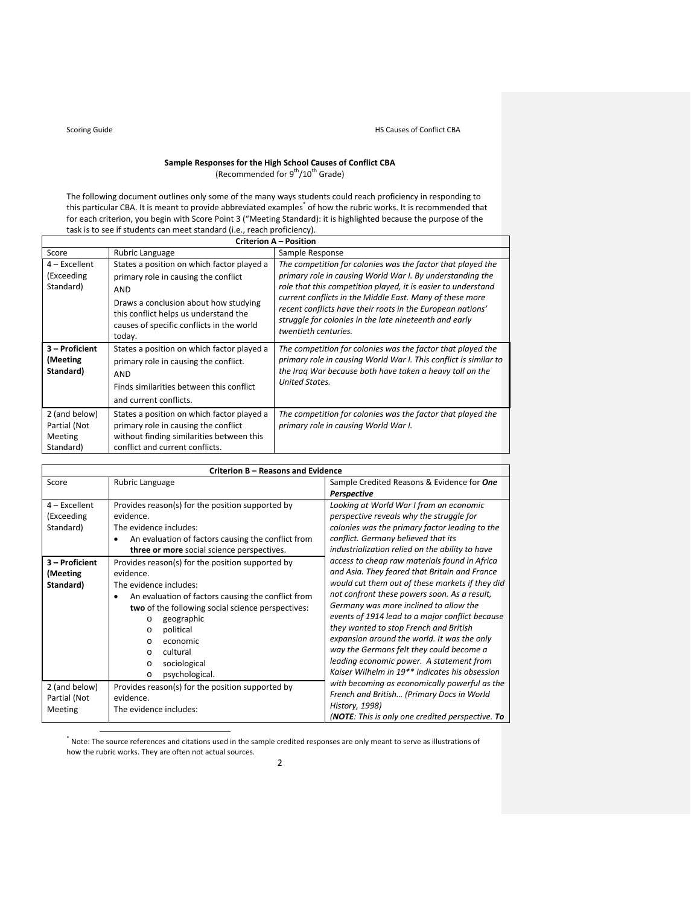## **Sample Responses for the High School Causes of Conflict CBA** (Recommended for  $9^{th}/10^{th}$  Grade)

The following document outlines only some of the many ways students could reach proficiency in responding to this particular CBA. It is meant to provide abbreviated examples\* of how the rubric works. It is recommended that for each criterion, you begin with Score Point 3 ("Meeting Standard): it is highlighted because the purpose of the task is to see if students can meet standard (i.e., reach proficiency).

| <b>Criterion A - Position</b>                                                                                                                                                                                               |                                                                                                                                                                                                                                    |                                                                                                                                                                                                                                                                                                                                                                                                       |  |  |  |
|-----------------------------------------------------------------------------------------------------------------------------------------------------------------------------------------------------------------------------|------------------------------------------------------------------------------------------------------------------------------------------------------------------------------------------------------------------------------------|-------------------------------------------------------------------------------------------------------------------------------------------------------------------------------------------------------------------------------------------------------------------------------------------------------------------------------------------------------------------------------------------------------|--|--|--|
| Score                                                                                                                                                                                                                       | Rubric Language                                                                                                                                                                                                                    | Sample Response                                                                                                                                                                                                                                                                                                                                                                                       |  |  |  |
| 4 – Excellent<br>(Exceeding<br>Standard)                                                                                                                                                                                    | States a position on which factor played a<br>primary role in causing the conflict<br>AND<br>Draws a conclusion about how studying<br>this conflict helps us understand the<br>causes of specific conflicts in the world<br>today. | The competition for colonies was the factor that played the<br>primary role in causing World War I. By understanding the<br>role that this competition played, it is easier to understand<br>current conflicts in the Middle East. Many of these more<br>recent conflicts have their roots in the European nations'<br>struggle for colonies in the late nineteenth and early<br>twentieth centuries. |  |  |  |
| 3 - Proficient<br>(Meeting<br>Standard)                                                                                                                                                                                     | States a position on which factor played a<br>primary role in causing the conflict.<br><b>AND</b><br>Finds similarities between this conflict<br>and current conflicts.                                                            | The competition for colonies was the factor that played the<br>primary role in causing World War I. This conflict is similar to<br>the Iraq War because both have taken a heavy toll on the<br><b>United States.</b>                                                                                                                                                                                  |  |  |  |
| 2 (and below)<br>States a position on which factor played a<br>Partial (Not<br>primary role in causing the conflict<br>without finding similarities between this<br>Meeting<br>conflict and current conflicts.<br>Standard) |                                                                                                                                                                                                                                    | The competition for colonies was the factor that played the<br>primary role in causing World War I.                                                                                                                                                                                                                                                                                                   |  |  |  |

|                      | Criterion B - Reasons and Evidence                 |                                                            |  |  |  |  |
|----------------------|----------------------------------------------------|------------------------------------------------------------|--|--|--|--|
| Score                | Rubric Language                                    | Sample Credited Reasons & Evidence for One                 |  |  |  |  |
|                      |                                                    | Perspective                                                |  |  |  |  |
| $4$ – Excellent      | Provides reason(s) for the position supported by   | Looking at World War I from an economic                    |  |  |  |  |
| (Exceeding           | evidence.                                          | perspective reveals why the struggle for                   |  |  |  |  |
| Standard)            | The evidence includes:                             | colonies was the primary factor leading to the             |  |  |  |  |
|                      | An evaluation of factors causing the conflict from | conflict. Germany believed that its                        |  |  |  |  |
|                      | three or more social science perspectives.         | industrialization relied on the ability to have            |  |  |  |  |
| 3 – Proficient       | Provides reason(s) for the position supported by   | access to cheap raw materials found in Africa              |  |  |  |  |
| (Meeting             | evidence.                                          | and Asia. They feared that Britain and France              |  |  |  |  |
| Standard)            | The evidence includes:                             | would cut them out of these markets if they did            |  |  |  |  |
|                      | An evaluation of factors causing the conflict from | not confront these powers soon. As a result,               |  |  |  |  |
|                      | two of the following social science perspectives:  | Germany was more inclined to allow the                     |  |  |  |  |
|                      | geographic<br>$\Omega$                             | events of 1914 lead to a major conflict because            |  |  |  |  |
| political<br>$\circ$ |                                                    | they wanted to stop French and British                     |  |  |  |  |
|                      | economic<br>$\Omega$                               | expansion around the world. It was the only                |  |  |  |  |
|                      | cultural<br>$\Omega$                               | way the Germans felt they could become a                   |  |  |  |  |
|                      | sociological<br>$\circ$                            | leading economic power. A statement from                   |  |  |  |  |
|                      | psychological.<br>$\circ$                          | Kaiser Wilhelm in 19 <sup>**</sup> indicates his obsession |  |  |  |  |
| 2 (and below)        | Provides reason(s) for the position supported by   | with becoming as economically powerful as the              |  |  |  |  |
| Partial (Not         | evidence.                                          | French and British (Primary Docs in World                  |  |  |  |  |
| Meeting              | The evidence includes:                             | History, 1998)                                             |  |  |  |  |
|                      |                                                    | ( <b>NOTE</b> : This is only one credited perspective. To  |  |  |  |  |

 \* Note: The source references and citations used in the sample credited responses are only meant to serve as illustrations of how the rubric works. They are often not actual sources.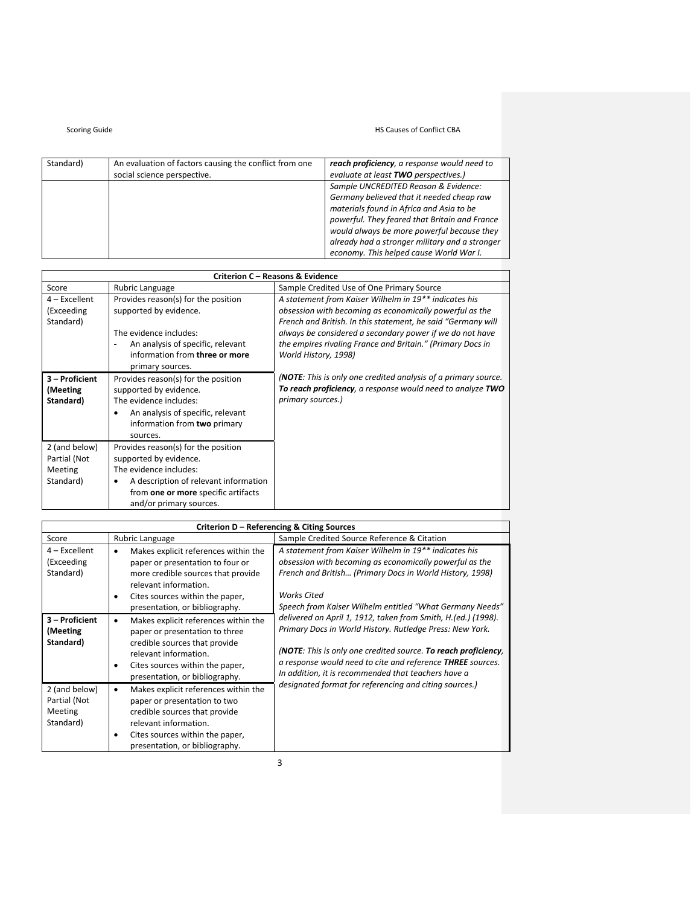## Scoring Guide **Manufacture 19 Separate 19 Separate 19 Separate 19 Separate 19 Separate 19 Separate 19 Separate 19 Separate 19 Separate 19 Separate 19 Separate 19 Separate 19 Separate 19 Separate 19 Separate 19 Separate 19**

| Standard) | An evaluation of factors causing the conflict from one | reach proficiency, a response would need to    |
|-----------|--------------------------------------------------------|------------------------------------------------|
|           | social science perspective.                            | evaluate at least TWO perspectives.)           |
|           |                                                        | Sample UNCREDITED Reason & Evidence:           |
|           |                                                        | Germany believed that it needed cheap raw      |
|           |                                                        | materials found in Africa and Asia to be       |
|           |                                                        | powerful. They feared that Britain and France  |
|           |                                                        | would always be more powerful because they     |
|           |                                                        | already had a stronger military and a stronger |
|           |                                                        | economy. This helped cause World War I.        |

| <b>Criterion C - Reasons &amp; Evidence</b>                                                                                                                                                                                                                      |                                                                                                                                                                                    |                                                                                                                                                                                                                                                                                                                                    |  |  |
|------------------------------------------------------------------------------------------------------------------------------------------------------------------------------------------------------------------------------------------------------------------|------------------------------------------------------------------------------------------------------------------------------------------------------------------------------------|------------------------------------------------------------------------------------------------------------------------------------------------------------------------------------------------------------------------------------------------------------------------------------------------------------------------------------|--|--|
| Score                                                                                                                                                                                                                                                            | Rubric Language                                                                                                                                                                    | Sample Credited Use of One Primary Source                                                                                                                                                                                                                                                                                          |  |  |
| $4$ – Excellent<br>(Exceeding<br>Standard)                                                                                                                                                                                                                       | Provides reason(s) for the position<br>supported by evidence.<br>The evidence includes:<br>An analysis of specific, relevant<br>information from three or more<br>primary sources. | A statement from Kaiser Wilhelm in 19** indicates his<br>obsession with becoming as economically powerful as the<br>French and British. In this statement, he said "Germany will<br>always be considered a secondary power if we do not have<br>the empires rivaling France and Britain." (Primary Docs in<br>World History, 1998) |  |  |
| 3 - Proficient<br>Provides reason(s) for the position<br>supported by evidence.<br>(Meeting<br>The evidence includes:<br>Standard)<br>An analysis of specific, relevant<br>٠<br>information from two primary<br>sources.                                         |                                                                                                                                                                                    | ( <b>NOTE</b> : This is only one credited analysis of a primary source.<br>To reach proficiency, a response would need to analyze TWO<br>primary sources.)                                                                                                                                                                         |  |  |
| 2 (and below)<br>Provides reason(s) for the position<br>supported by evidence.<br>Partial (Not<br>The evidence includes:<br>Meeting<br>Standard)<br>A description of relevant information<br>٠<br>from one or more specific artifacts<br>and/or primary sources. |                                                                                                                                                                                    |                                                                                                                                                                                                                                                                                                                                    |  |  |

| Criterion D - Referencing & Citing Sources            |                                                                                                                                                                                                                                |                                                                                                                                                                                                                                                                                                                  |  |  |  |
|-------------------------------------------------------|--------------------------------------------------------------------------------------------------------------------------------------------------------------------------------------------------------------------------------|------------------------------------------------------------------------------------------------------------------------------------------------------------------------------------------------------------------------------------------------------------------------------------------------------------------|--|--|--|
| Score                                                 | Rubric Language                                                                                                                                                                                                                | Sample Credited Source Reference & Citation                                                                                                                                                                                                                                                                      |  |  |  |
| 4 – Excellent<br>(Exceeding<br>Standard)              | Makes explicit references within the<br>$\bullet$<br>paper or presentation to four or<br>more credible sources that provide<br>relevant information.<br>Cites sources within the paper,<br>٠<br>presentation, or bibliography. | A statement from Kaiser Wilhelm in 19** indicates his<br>obsession with becoming as economically powerful as the<br>French and British (Primary Docs in World History, 1998)<br><b>Works Cited</b><br>Speech from Kaiser Wilhelm entitled "What Germany Needs"                                                   |  |  |  |
| 3 - Proficient<br>(Meeting<br>Standard)               | Makes explicit references within the<br>$\bullet$<br>paper or presentation to three<br>credible sources that provide<br>relevant information.<br>Cites sources within the paper,<br>٠<br>presentation, or bibliography.        | delivered on April 1, 1912, taken from Smith, H.(ed.) (1998).<br>Primary Docs in World History. Rutledge Press: New York.<br>(NOTE: This is only one credited source. To reach proficiency,<br>a response would need to cite and reference THREE sources.<br>In addition, it is recommended that teachers have a |  |  |  |
| 2 (and below)<br>Partial (Not<br>Meeting<br>Standard) | Makes explicit references within the<br>$\bullet$<br>paper or presentation to two<br>credible sources that provide<br>relevant information.<br>Cites sources within the paper,<br>$\bullet$<br>presentation, or bibliography.  | designated format for referencing and citing sources.)                                                                                                                                                                                                                                                           |  |  |  |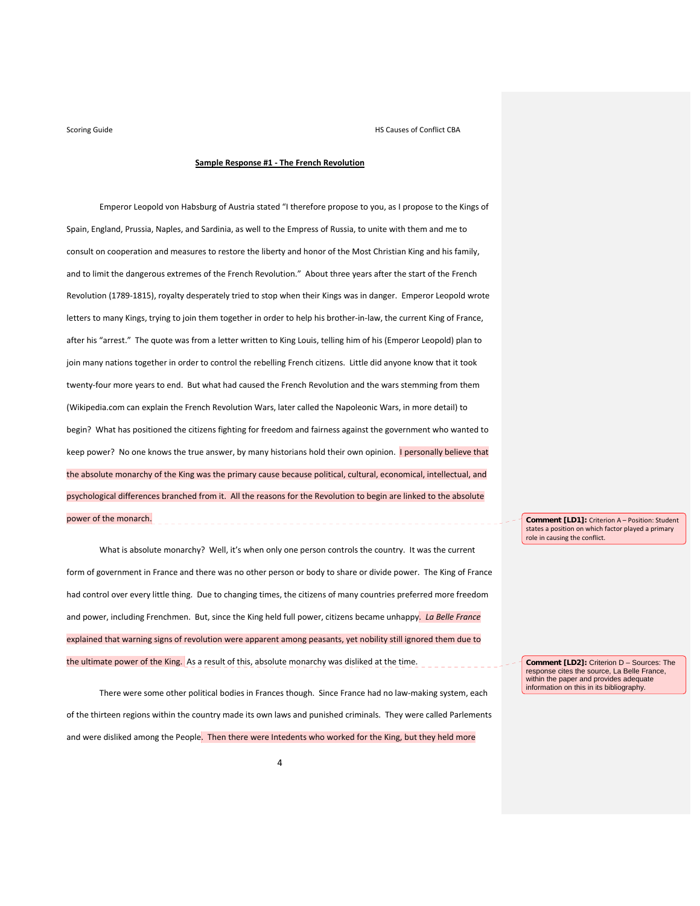### **Sample Response #1 ‐ The French Revolution**

Emperor Leopold von Habsburg of Austria stated "I therefore propose to you, as I propose to the Kings of Spain, England, Prussia, Naples, and Sardinia, as well to the Empress of Russia, to unite with them and me to consult on cooperation and measures to restore the liberty and honor of the Most Christian King and his family, and to limit the dangerous extremes of the French Revolution." About three years after the start of the French Revolution (1789-1815), royalty desperately tried to stop when their Kings was in danger. Emperor Leopold wrote letters to many Kings, trying to join them together in order to help his brother-in-law, the current King of France, after his "arrest." The quote was from a letter written to King Louis, telling him of his (Emperor Leopold) plan to join many nations together in order to control the rebelling French citizens. Little did anyone know that it took twenty-four more years to end. But what had caused the French Revolution and the wars stemming from them (Wikipedia.com can explain the French Revolution Wars, later called the Napoleonic Wars, in more detail) to begin? What has positioned the citizens fighting for freedom and fairness against the government who wanted to keep power? No one knows the true answer, by many historians hold their own opinion. **I personally believe that** the absolute monarchy of the King was the primary cause because political, cultural, economical, intellectual, and psychological differences branched from it. All the reasons for the Revolution to begin are linked to the absolute power of the monarch.

What is absolute monarchy? Well, it's when only one person controls the country. It was the current form of government in France and there was no other person or body to share or divide power. The King of France had control over every little thing. Due to changing times, the citizens of many countries preferred more freedom and power, including Frenchmen. But, since the King held full power, citizens became unhappy. *La Belle France* explained that warning signs of revolution were apparent among peasants, yet nobility still ignored them due to the ultimate power of the King. As a result of this, absolute monarchy was disliked at the time.

There were some other political bodies in Frances though. Since France had no law-making system, each of the thirteen regions within the country made its own laws and punished criminals. They were called Parlements and were disliked among the People. Then there were Intedents who worked for the King, but they held more

**Comment [LD1]:** Criterion A – Position: Student states a position on which factor played a primary role in causing the conflict.

**Comment [LD2]:** Criterion D – Sources: The response cites the source, La Belle France, within the paper and provides adequate information on this in its bibliography.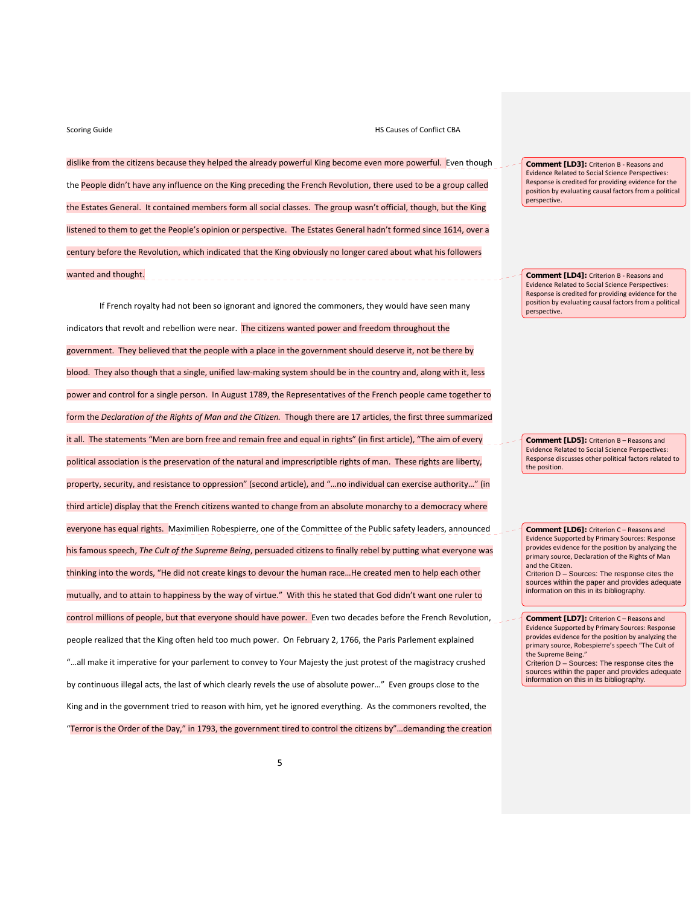dislike from the citizens because they helped the already powerful King become even more powerful. Even though the People didn't have any influence on the King preceding the French Revolution, there used to be a group called the Estates General. It contained members form all social classes. The group wasn't official, though, but the King listened to them to get the People's opinion or perspective. The Estates General hadn't formed since 1614, over a century before the Revolution, which indicated that the King obviously no longer cared about what his followers wanted and thought.

If French royalty had not been so ignorant and ignored the commoners, they would have seen many indicators that revolt and rebellion were near. The citizens wanted power and freedom throughout the government. They believed that the people with a place in the government should deserve it, not be there by blood. They also though that a single, unified law-making system should be in the country and, along with it, less power and control for a single person. In August 1789, the Representatives of the French people came together to form the *Declaration of the Rights of Man and the Citizen.* Though there are 17 articles, the first three summarized it all. The statements "Men are born free and remain free and equal in rights" (in first article), "The aim of every political association is the preservation of the natural and imprescriptible rights of man. These rights are liberty, property, security, and resistance to oppression" (second article), and "…no individual can exercise authority…" (in third article) display that the French citizens wanted to change from an absolute monarchy to a democracy where everyone has equal rights. Maximilien Robespierre, one of the Committee of the Public safety leaders, announced his famous speech, *The Cult of the Supreme Being*, persuaded citizens to finally rebel by putting what everyone was thinking into the words, "He did not create kings to devour the human race…He created men to help each other mutually, and to attain to happiness by the way of virtue." With this he stated that God didn't want one ruler to control millions of people, but that everyone should have power. Even two decades before the French Revolution, people realized that the King often held too much power. On February 2, 1766, the Paris Parlement explained "…all make it imperative for your parlement to convey to Your Majesty the just protest of the magistracy crushed by continuous illegal acts, the last of which clearly revels the use of absolute power…" Even groups close to the King and in the government tried to reason with him, yet he ignored everything. As the commoners revolted, the "Terror is the Order of the Day," in 1793, the government tired to control the citizens by"…demanding the creation

**Comment [LD3]:** Criterion B ‐ Reasons and Evidence Related to Social Science Perspectives: Response is credited for providing evidence for the position by evaluating causal factors from a political perspective.

**Comment [LD4]:** Criterion B ‐ Reasons and Evidence Related to Social Science Perspectives: Response is credited for providing evidence for the position by evaluating causal factors from a political perspective.

**Comment [LD5]:** Criterion B – Reasons and Evidence Related to Social Science Perspectives: Response discusses other political factors related to the position.

**Comment [LD6]:** Criterion C – Reasons and Evidence Supported by Primary Sources: Response provides evidence for the position by analyzing the .<br>primary source, Declaration of the Rights of Man and the Citizen. Criterion D – Sources: The response cites the sources within the paper and provides adequate information on this in its bibliography.

**Comment [LD7]:** Criterion C – Reasons and Evidence Supported by Primary Sources: Response provides evidence for the position by analyzing the primary source, Robespierre's speech "The Cult of the Supreme Being."

Criterion D – Sources: The response cites the sources within the paper and provides adequate information on this in its bibliography.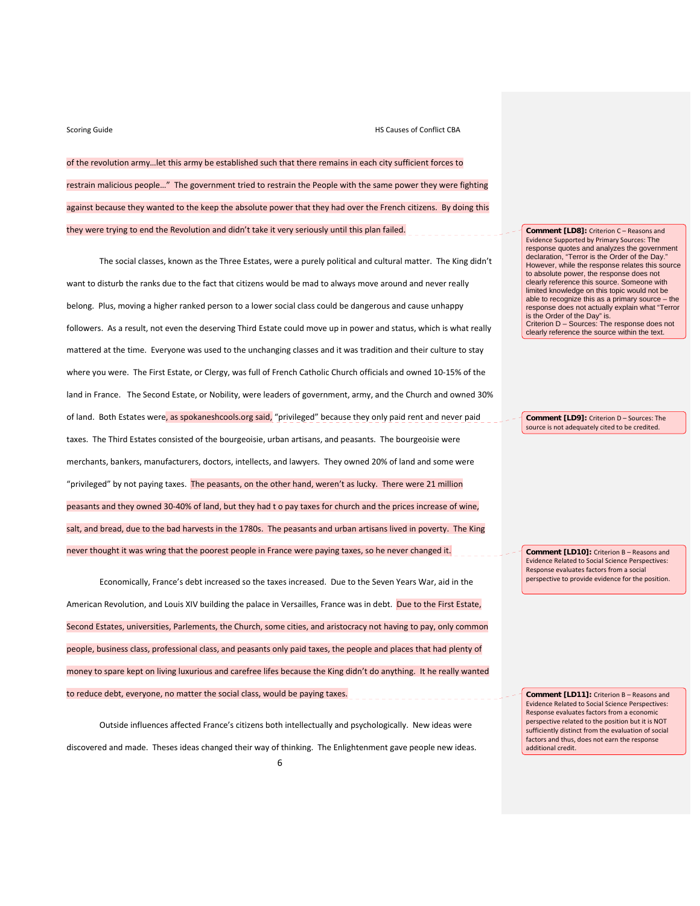of the revolution army…let this army be established such that there remains in each city sufficient forces to restrain malicious people…" The government tried to restrain the People with the same power they were fighting against because they wanted to the keep the absolute power that they had over the French citizens. By doing this they were trying to end the Revolution and didn't take it very seriously until this plan failed.

The social classes, known as the Three Estates, were a purely political and cultural matter. The King didn't want to disturb the ranks due to the fact that citizens would be mad to always move around and never really belong. Plus, moving a higher ranked person to a lower social class could be dangerous and cause unhappy followers. As a result, not even the deserving Third Estate could move up in power and status, which is what really mattered at the time. Everyone was used to the unchanging classes and it was tradition and their culture to stay where you were. The First Estate, or Clergy, was full of French Catholic Church officials and owned 10‐15% of the land in France. The Second Estate, or Nobility, were leaders of government, army, and the Church and owned 30% of land. Both Estates were, as spokaneshcools.org said, "privileged" because they only paid rent and never paid taxes. The Third Estates consisted of the bourgeoisie, urban artisans, and peasants. The bourgeoisie were merchants, bankers, manufacturers, doctors, intellects, and lawyers. They owned 20% of land and some were "privileged" by not paying taxes. The peasants, on the other hand, weren't as lucky. There were 21 million peasants and they owned 30‐40% of land, but they had t o pay taxes for church and the prices increase of wine, salt, and bread, due to the bad harvests in the 1780s. The peasants and urban artisans lived in poverty. The King never thought it was wring that the poorest people in France were paying taxes, so he never changed it.

Economically, France's debt increased so the taxes increased. Due to the Seven Years War, aid in the American Revolution, and Louis XIV building the palace in Versailles, France was in debt. Due to the First Estate, Second Estates, universities, Parlements, the Church, some cities, and aristocracy not having to pay, only common people, business class, professional class, and peasants only paid taxes, the people and places that had plenty of money to spare kept on living luxurious and carefree lifes because the King didn't do anything. It he really wanted to reduce debt, everyone, no matter the social class, would be paying taxes.

Outside influences affected France's citizens both intellectually and psychologically. New ideas were discovered and made. Theses ideas changed their way of thinking. The Enlightenment gave people new ideas. **Comment [LD8]:** Criterion C – Reasons and Evidence Supported by Primary Sources: The response quotes and analyzes the government declaration, "Terror is the Order of the Day." However, while the response relates this source to absolute power, the response does not clearly reference this source. Someone with limited knowledge on this topic would not be able to recognize this as a primary source – the response does not actually explain what "Terror is the Order of the Day" is. Criterion D – Sources: The response does not clearly reference the source within the text.

**Comment [LD9]:** Criterion D – Sources: The source is not adequately cited to be credited.

**Comment [LD10]:** Criterion B – Reasons and Evidence Related to Social Science Perspectives: Response evaluates factors from a social perspective to provide evidence for the position.

**Comment [LD11]:** Criterion B – Reasons and Evidence Related to Social Science Perspectives: Response evaluates factors from a economic perspective related to the position but it is NOT sufficiently distinct from the evaluation of social factors and thus, does not earn the response additional credit.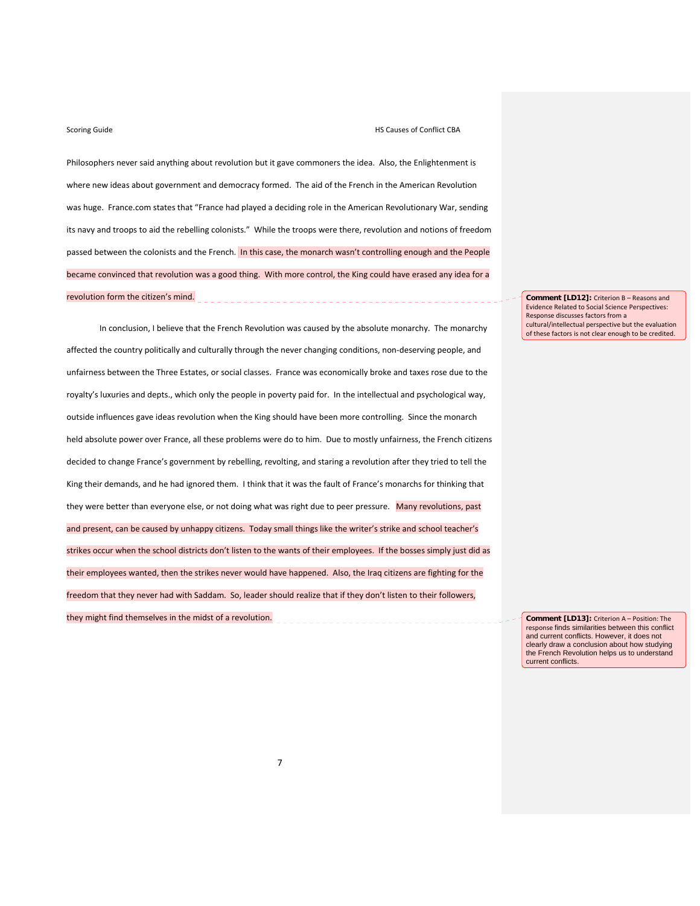### Scoring Guide **CONFLICT CONFLICT CONFLICT CONFLICT CONFLICT CONFLICT CONFLICT CONFLICT CONFLICT CONFLICT CONFLICT CONFLICT CONFLICT CONFLICT CONFLICT CONFLICT CONFLICT CONFLICT CONFLICT CONFLICT CONFLICT CONFLICT CONFLICT**

Philosophers never said anything about revolution but it gave commoners the idea. Also, the Enlightenment is where new ideas about government and democracy formed. The aid of the French in the American Revolution was huge. France.com states that "France had played a deciding role in the American Revolutionary War, sending its navy and troops to aid the rebelling colonists." While the troops were there, revolution and notions of freedom passed between the colonists and the French. In this case, the monarch wasn't controlling enough and the People became convinced that revolution was a good thing. With more control, the King could have erased any idea for a revolution form the citizen's mind.

In conclusion, I believe that the French Revolution was caused by the absolute monarchy. The monarchy affected the country politically and culturally through the never changing conditions, non‐deserving people, and unfairness between the Three Estates, or social classes. France was economically broke and taxes rose due to the royalty's luxuries and depts., which only the people in poverty paid for. In the intellectual and psychological way, outside influences gave ideas revolution when the King should have been more controlling. Since the monarch held absolute power over France, all these problems were do to him. Due to mostly unfairness, the French citizens decided to change France's government by rebelling, revolting, and staring a revolution after they tried to tell the King their demands, and he had ignored them. I think that it was the fault of France's monarchs for thinking that they were better than everyone else, or not doing what was right due to peer pressure. Many revolutions, past and present, can be caused by unhappy citizens. Today small things like the writer's strike and school teacher's strikes occur when the school districts don't listen to the wants of their employees. If the bosses simply just did as their employees wanted, then the strikes never would have happened. Also, the Iraq citizens are fighting for the freedom that they never had with Saddam. So, leader should realize that if they don't listen to their followers, they might find themselves in the midst of a revolution.

**Comment [LD12]:** Criterion B – Reasons and Evidence Related to Social Science Perspectives: Response discusses factors from a cultural/intellectual perspective but the evaluation of these factors is not clear enough to be credited.

**Comment [LD13]:** Criterion A – Position: The response finds similarities between this conflict and current conflicts. However, it does not clearly draw a conclusion about how studying the French Revolution helps us to understand current conflicts.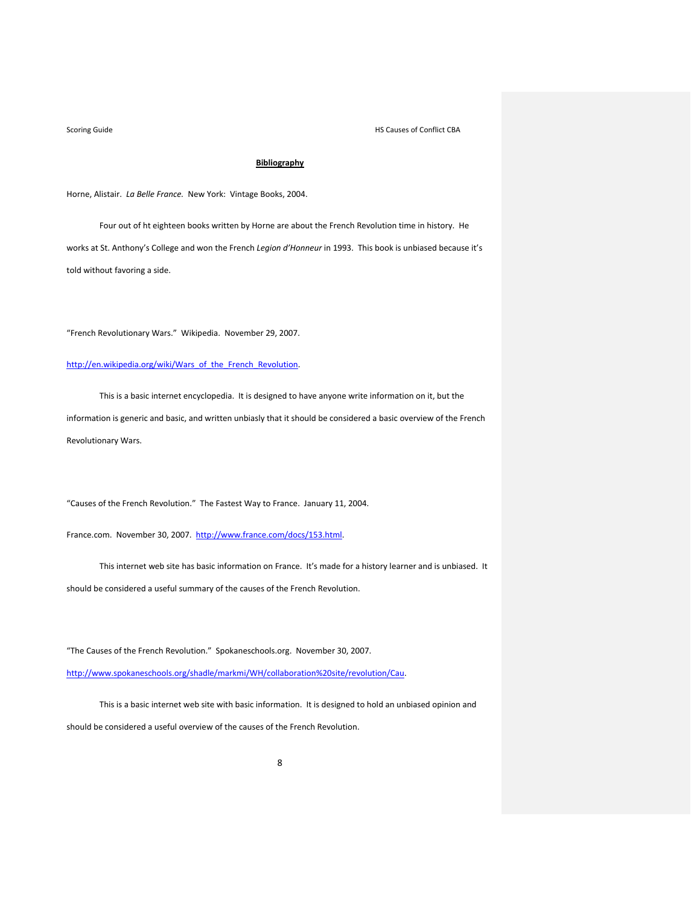# **Bibliography**

Horne, Alistair. *La Belle France.* New York: Vintage Books, 2004.

Four out of ht eighteen books written by Horne are about the French Revolution time in history. He works at St. Anthony's College and won the French *Legion d'Honneur* in 1993. This book is unbiased because it's told without favoring a side.

"French Revolutionary Wars." Wikipedia. November 29, 2007.

## http://en.wikipedia.org/wiki/Wars\_of\_the\_French\_Revolution.

This is a basic internet encyclopedia. It is designed to have anyone write information on it, but the information is generic and basic, and written unbiasly that it should be considered a basic overview of the French Revolutionary Wars.

"Causes of the French Revolution." The Fastest Way to France. January 11, 2004.

France.com. November 30, 2007. http://www.france.com/docs/153.html.

This internet web site has basic information on France. It's made for a history learner and is unbiased. It should be considered a useful summary of the causes of the French Revolution.

"The Causes of the French Revolution." Spokaneschools.org. November 30, 2007.

http://www.spokaneschools.org/shadle/markmi/WH/collaboration%20site/revolution/Cau.

This is a basic internet web site with basic information. It is designed to hold an unbiased opinion and should be considered a useful overview of the causes of the French Revolution.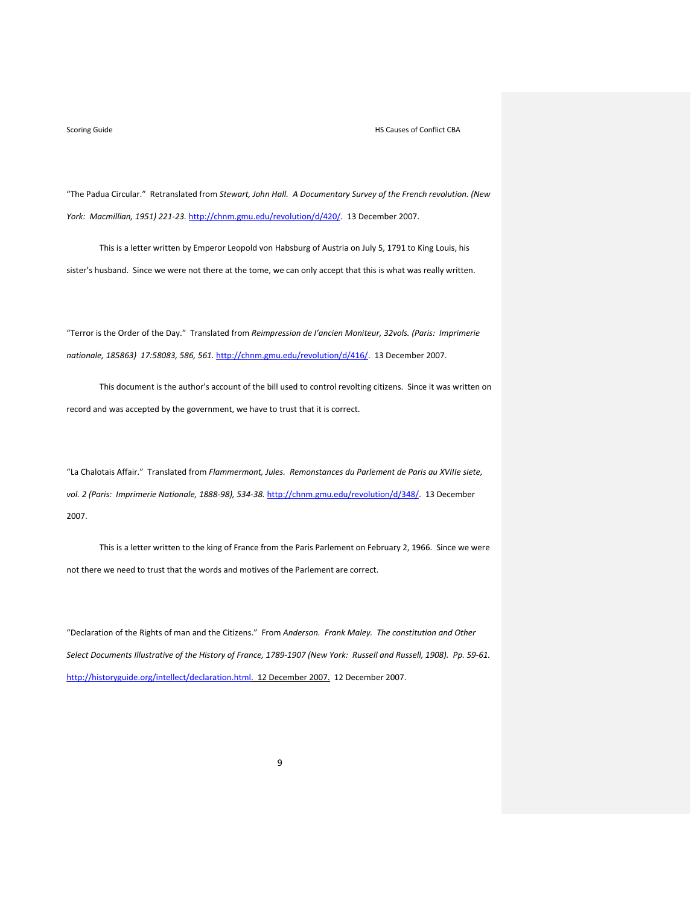### Scoring Guide **CONFIDENTIAL CONFIDENTIAL CONFIDENTIAL CONFIDENTIAL CONFIDENTIAL CONFIDENTIAL CONFIDENTIAL CONFIDENTIAL CONFIDENTIAL CONFIDENTIAL CONFIDENTIAL CONFIDENTIAL CONFIDENTIAL CONFIDENTIAL CONFIDENTIAL CONFIDENTIAL**

"The Padua Circular." Retranslated from *Stewart, John Hall. A Documentary Survey of the French revolution. (New York: Macmillian, 1951) 221‐23.* http://chnm.gmu.edu/revolution/d/420/. 13 December 2007.

This is a letter written by Emperor Leopold von Habsburg of Austria on July 5, 1791 to King Louis, his sister's husband. Since we were not there at the tome, we can only accept that this is what was really written.

"Terror is the Order of the Day." Translated from *Reimpression de I'ancien Moniteur, 32vols. (Paris: Imprimerie nationale, 185863) 17:58083, 586, 561.* http://chnm.gmu.edu/revolution/d/416/. 13 December 2007.

This document is the author's account of the bill used to control revolting citizens. Since it was written on record and was accepted by the government, we have to trust that it is correct.

"La Chalotais Affair." Translated from *Flammermont, Jules. Remonstances du Parlement de Paris au XVIIIe siete, vol. 2 (Paris: Imprimerie Nationale, 1888‐98), 534‐38.* http://chnm.gmu.edu/revolution/d/348/. 13 December 2007.

This is a letter written to the king of France from the Paris Parlement on February 2, 1966. Since we were not there we need to trust that the words and motives of the Parlement are correct.

"Declaration of the Rights of man and the Citizens." From *Anderson. Frank Maley. The constitution and Other* Select Documents Illustrative of the History of France, 1789-1907 (New York: Russell and Russell, 1908). Pp. 59-61. http://historyguide.org/intellect/declaration.html. 12 December 2007. 12 December 2007.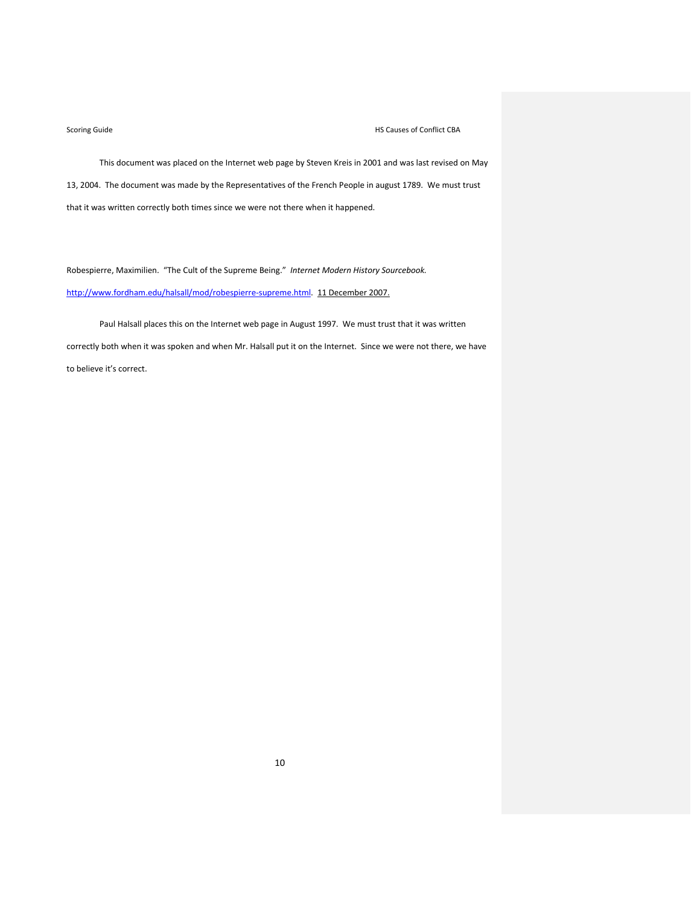This document was placed on the Internet web page by Steven Kreis in 2001 and was last revised on May 13, 2004. The document was made by the Representatives of the French People in august 1789. We must trust that it was written correctly both times since we were not there when it happened.

Robespierre, Maximilien. "The Cult of the Supreme Being." *Internet Modern History Sourcebook.* http://www.fordham.edu/halsall/mod/robespierre-supreme.html. 11 December 2007.

Paul Halsall places this on the Internet web page in August 1997. We must trust that it was written correctly both when it was spoken and when Mr. Halsall put it on the Internet. Since we were not there, we have to believe it's correct.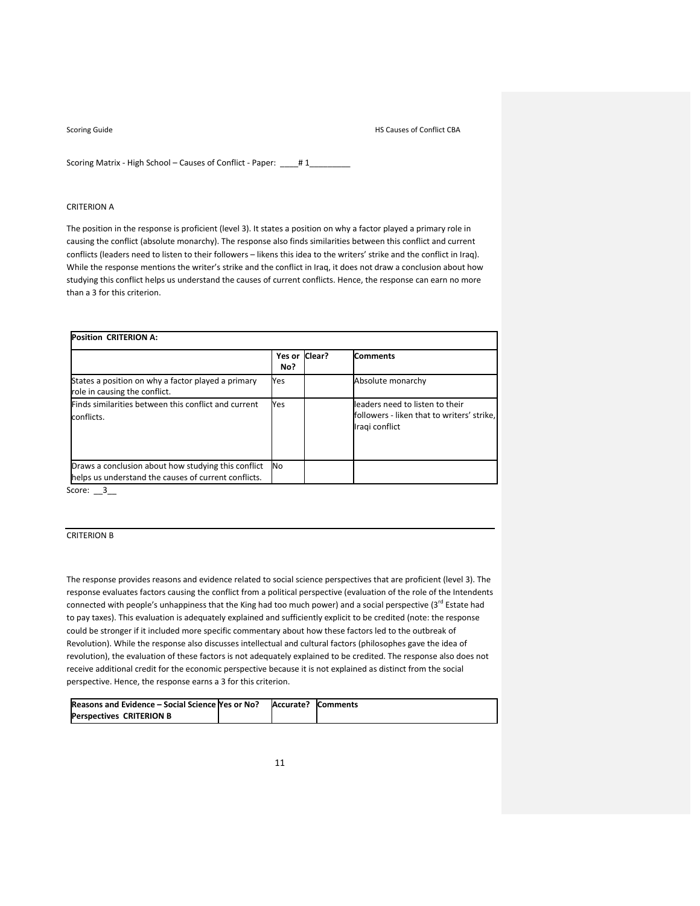Scoring Matrix - High School – Causes of Conflict - Paper: \_\_\_\_# 1\_\_\_\_\_\_\_\_\_

## CRITERION A

The position in the response is proficient (level 3). It states a position on why a factor played a primary role in causing the conflict (absolute monarchy). The response also finds similarities between this conflict and current conflicts (leaders need to listen to their followers – likens this idea to the writers' strike and the conflict in Iraq). While the response mentions the writer's strike and the conflict in Iraq, it does not draw a conclusion about how studying this conflict helps us understand the causes of current conflicts. Hence, the response can earn no more than a 3 for this criterion.

| <b>Position CRITERION A:</b>                                                                                |                      |  |                                                                                                 |  |
|-------------------------------------------------------------------------------------------------------------|----------------------|--|-------------------------------------------------------------------------------------------------|--|
|                                                                                                             | Yes or Clear?<br>No? |  | <b>Comments</b>                                                                                 |  |
| States a position on why a factor played a primary<br>role in causing the conflict.                         | Yes                  |  | Absolute monarchy                                                                               |  |
| Finds similarities between this conflict and current<br>conflicts.                                          | Yes                  |  | leaders need to listen to their<br>followers - liken that to writers' strike,<br>Iragi conflict |  |
| Draws a conclusion about how studying this conflict<br>helps us understand the causes of current conflicts. | N <sub>0</sub>       |  |                                                                                                 |  |

Score:  $\_\_3$ 

## CRITERION B

The response provides reasons and evidence related to social science perspectives that are proficient (level 3). The response evaluates factors causing the conflict from a political perspective (evaluation of the role of the Intendents connected with people's unhappiness that the King had too much power) and a social perspective (3rd Estate had to pay taxes). This evaluation is adequately explained and sufficiently explicit to be credited (note: the response could be stronger if it included more specific commentary about how these factors led to the outbreak of Revolution). While the response also discusses intellectual and cultural factors (philosophes gave the idea of revolution), the evaluation of these factors is not adequately explained to be credited. The response also does not receive additional credit for the economic perspective because it is not explained as distinct from the social perspective. Hence, the response earns a 3 for this criterion.

| Reasons and Evidence – Social Science Yes or No? | Accurate? | <b>Comments</b> |
|--------------------------------------------------|-----------|-----------------|
| <b>Perspectives CRITERION B</b>                  |           |                 |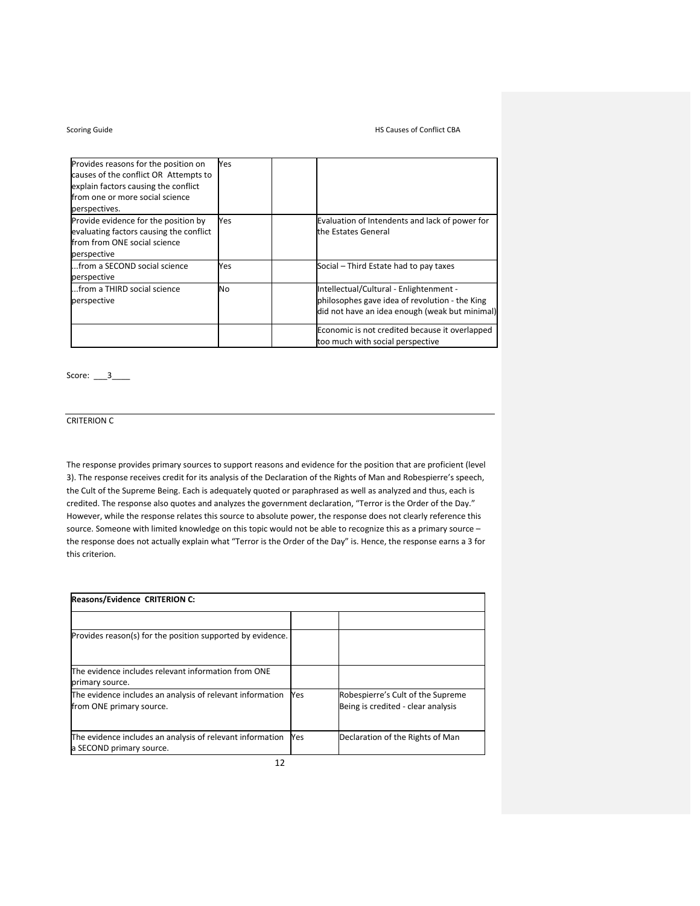| Provides reasons for the position on<br>causes of the conflict OR Attempts to<br>explain factors causing the conflict          | Yes |                                                                                                                                             |
|--------------------------------------------------------------------------------------------------------------------------------|-----|---------------------------------------------------------------------------------------------------------------------------------------------|
| from one or more social science<br>perspectives.                                                                               |     |                                                                                                                                             |
| Provide evidence for the position by<br>evaluating factors causing the conflict<br>from from ONE social science<br>perspective | Yes | Evaluation of Intendents and lack of power for<br>the Estates General                                                                       |
| from a SECOND social science<br>perspective                                                                                    | Yes | Social – Third Estate had to pay taxes                                                                                                      |
| from a THIRD social science<br>perspective                                                                                     | No  | Intellectual/Cultural - Enlightenment -<br>philosophes gave idea of revolution - the King<br>did not have an idea enough (weak but minimal) |
|                                                                                                                                |     | Economic is not credited because it overlapped<br>too much with social perspective                                                          |

Score: \_\_\_3\_\_\_\_

# CRITERION C

The response provides primary sources to support reasons and evidence for the position that are proficient (level 3). The response receives credit for its analysis of the Declaration of the Rights of Man and Robespierre's speech, the Cult of the Supreme Being. Each is adequately quoted or paraphrased as well as analyzed and thus, each is credited. The response also quotes and analyzes the government declaration, "Terror is the Order of the Day." However, while the response relates this source to absolute power, the response does not clearly reference this source. Someone with limited knowledge on this topic would not be able to recognize this as a primary source – the response does not actually explain what "Terror is the Order of the Day" is. Hence, the response earns a 3 for this criterion.

| <b>Reasons/Evidence CRITERION C:</b>                       |     |                                    |  |  |
|------------------------------------------------------------|-----|------------------------------------|--|--|
|                                                            |     |                                    |  |  |
| Provides reason(s) for the position supported by evidence. |     |                                    |  |  |
| The evidence includes relevant information from ONE        |     |                                    |  |  |
| primary source.                                            |     |                                    |  |  |
| The evidence includes an analysis of relevant information  | Yes | Robespierre's Cult of the Supreme  |  |  |
| from ONE primary source.                                   |     | Being is credited - clear analysis |  |  |
| The evidence includes an analysis of relevant information  | Yes | Declaration of the Rights of Man   |  |  |
| a SECOND primary source.                                   |     |                                    |  |  |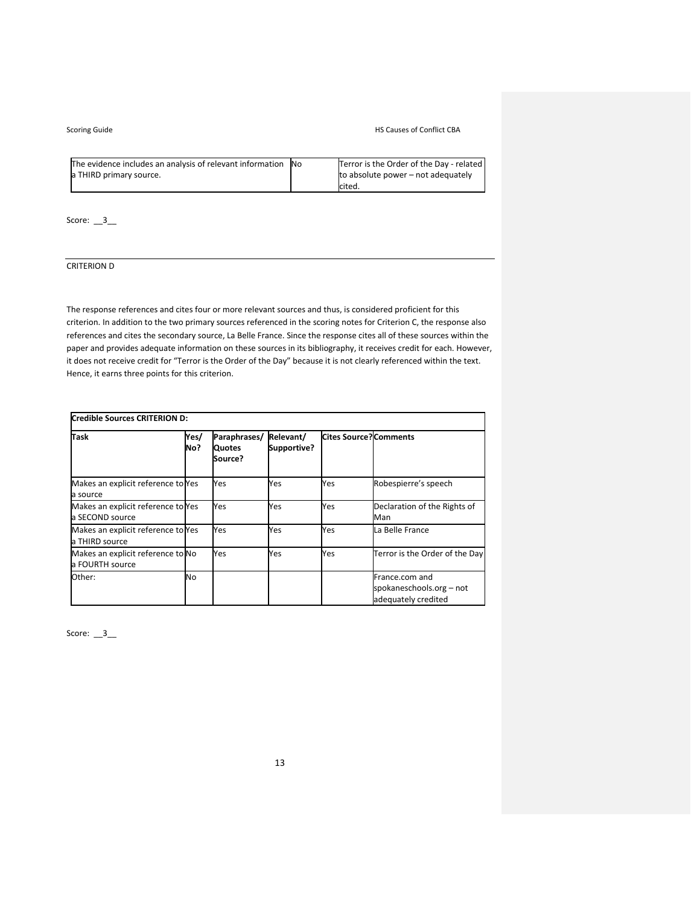| The evidence includes an analysis of relevant information No | Terror is the Order of the Day - related |
|--------------------------------------------------------------|------------------------------------------|
| a THIRD primary source.                                      | to absolute power – not adequately       |
|                                                              | Icited.                                  |

Score: \_\_3\_\_

# CRITERION D

The response references and cites four or more relevant sources and thus, is considered proficient for this criterion. In addition to the two primary sources referenced in the scoring notes for Criterion C, the response also references and cites the secondary source, La Belle France. Since the response cites all of these sources within the paper and provides adequate information on these sources in its bibliography, it receives credit for each. However, it does not receive credit for "Terror is the Order of the Day" because it is not clearly referenced within the text. Hence, it earns three points for this criterion.

| Credible Sources CRITERION D:                         |             |                                          |                          |                               |                                                                   |
|-------------------------------------------------------|-------------|------------------------------------------|--------------------------|-------------------------------|-------------------------------------------------------------------|
| <b>Task</b>                                           | Yes/<br>No? | Paraphrases/<br><b>Quotes</b><br>Source? | Relevant/<br>Supportive? | <b>Cites Source? Comments</b> |                                                                   |
| Makes an explicit reference to Yes<br>a source        |             | Yes                                      | Yes                      | Yes                           | Robespierre's speech                                              |
| Makes an explicit reference to Yes<br>a SECOND source |             | Yes                                      | Yes                      | Yes                           | Declaration of the Rights of<br>Man                               |
| Makes an explicit reference to Yes<br>a THIRD source  |             | Yes                                      | Yes                      | Yes                           | La Belle France                                                   |
| Makes an explicit reference to No<br>a FOURTH source  |             | Yes                                      | Yes                      | Yes                           | Terror is the Order of the Day                                    |
| Other:                                                | No          |                                          |                          |                               | France.com and<br>spokaneschools.org - not<br>adequately credited |

Score: \_\_3\_\_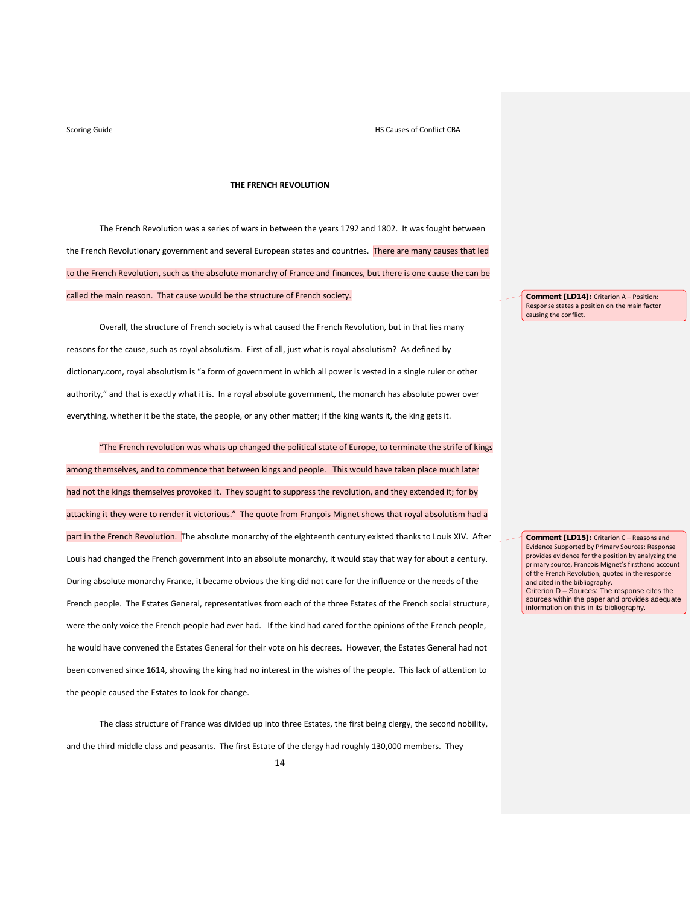### **THE FRENCH REVOLUTION**

The French Revolution was a series of wars in between the years 1792 and 1802. It was fought between the French Revolutionary government and several European states and countries. There are many causes that led to the French Revolution, such as the absolute monarchy of France and finances, but there is one cause the can be called the main reason. That cause would be the structure of French society.

Overall, the structure of French society is what caused the French Revolution, but in that lies many reasons for the cause, such as royal absolutism. First of all, just what is royal absolutism? As defined by dictionary.com, royal absolutism is "a form of government in which all power is vested in a single ruler or other authority," and that is exactly what it is. In a royal absolute government, the monarch has absolute power over everything, whether it be the state, the people, or any other matter; if the king wants it, the king gets it.

"The French revolution was whats up changed the political state of Europe, to terminate the strife of kings among themselves, and to commence that between kings and people. This would have taken place much later had not the kings themselves provoked it. They sought to suppress the revolution, and they extended it; for by attacking it they were to render it victorious." The quote from François Mignet shows that royal absolutism had a part in the French Revolution. The absolute monarchy of the eighteenth century existed thanks to Louis XIV. After Louis had changed the French government into an absolute monarchy, it would stay that way for about a century. During absolute monarchy France, it became obvious the king did not care for the influence or the needs of the French people. The Estates General, representatives from each of the three Estates of the French social structure, were the only voice the French people had ever had. If the kind had cared for the opinions of the French people, he would have convened the Estates General for their vote on his decrees. However, the Estates General had not been convened since 1614, showing the king had no interest in the wishes of the people. This lack of attention to the people caused the Estates to look for change.

The class structure of France was divided up into three Estates, the first being clergy, the second nobility, and the third middle class and peasants. The first Estate of the clergy had roughly 130,000 members. They

**Comment [LD14]:** Criterion A – Position: Response states a position on the main factor causing the conflict.

**Comment [LD15]:** Criterion C – Reasons and Evidence Supported by Primary Sources: Response provides evidence for the position by analyzing the primary source, Francois Mignet's firsthand account of the French Revolution, quoted in the response and cited in the bibliography. Criterion D – Sources: The response cites the sources within the paper and provides adequate information on this in its bibliography.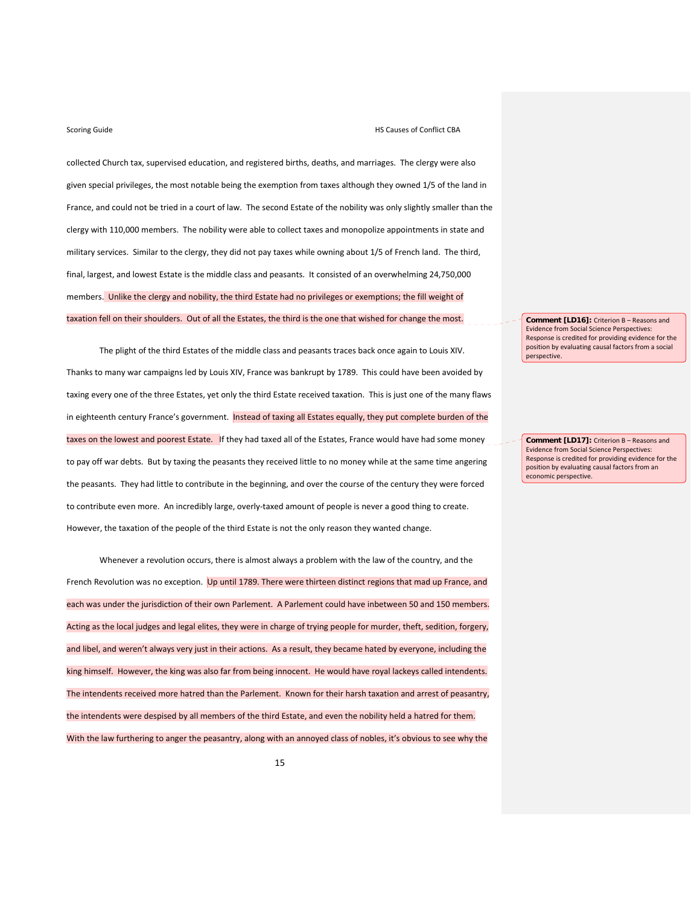collected Church tax, supervised education, and registered births, deaths, and marriages. The clergy were also given special privileges, the most notable being the exemption from taxes although they owned 1/5 of the land in France, and could not be tried in a court of law. The second Estate of the nobility was only slightly smaller than the clergy with 110,000 members. The nobility were able to collect taxes and monopolize appointments in state and military services. Similar to the clergy, they did not pay taxes while owning about 1/5 of French land. The third, final, largest, and lowest Estate is the middle class and peasants. It consisted of an overwhelming 24,750,000 members. Unlike the clergy and nobility, the third Estate had no privileges or exemptions; the fill weight of taxation fell on their shoulders. Out of all the Estates, the third is the one that wished for change the most.

The plight of the third Estates of the middle class and peasants traces back once again to Louis XIV. Thanks to many war campaigns led by Louis XIV, France was bankrupt by 1789. This could have been avoided by taxing every one of the three Estates, yet only the third Estate received taxation. This is just one of the many flaws in eighteenth century France's government. **Instead of taxing all Estates equally, they put complete burden of the** taxes on the lowest and poorest Estate. If they had taxed all of the Estates, France would have had some money to pay off war debts. But by taxing the peasants they received little to no money while at the same time angering the peasants. They had little to contribute in the beginning, and over the course of the century they were forced to contribute even more. An incredibly large, overly‐taxed amount of people is never a good thing to create. However, the taxation of the people of the third Estate is not the only reason they wanted change.

Whenever a revolution occurs, there is almost always a problem with the law of the country, and the French Revolution was no exception. Up until 1789. There were thirteen distinct regions that mad up France, and each was under the jurisdiction of their own Parlement. A Parlement could have inbetween 50 and 150 members. Acting as the local judges and legal elites, they were in charge of trying people for murder, theft, sedition, forgery, and libel, and weren't always very just in their actions. As a result, they became hated by everyone, including the king himself. However, the king was also far from being innocent. He would have royal lackeys called intendents. The intendents received more hatred than the Parlement. Known for their harsh taxation and arrest of peasantry, the intendents were despised by all members of the third Estate, and even the nobility held a hatred for them. With the law furthering to anger the peasantry, along with an annoyed class of nobles, it's obvious to see why the

**Comment [LD16]:** Criterion B – Reasons and Evidence from Social Science Perspectives: Response is credited for providing evidence for the position by evaluating causal factors from a social perspective.

**Comment [LD17]:** Criterion B – Reasons and Evidence from Social Science Perspectives: Response is credited for providing evidence for the position by evaluating causal factors from an economic perspective.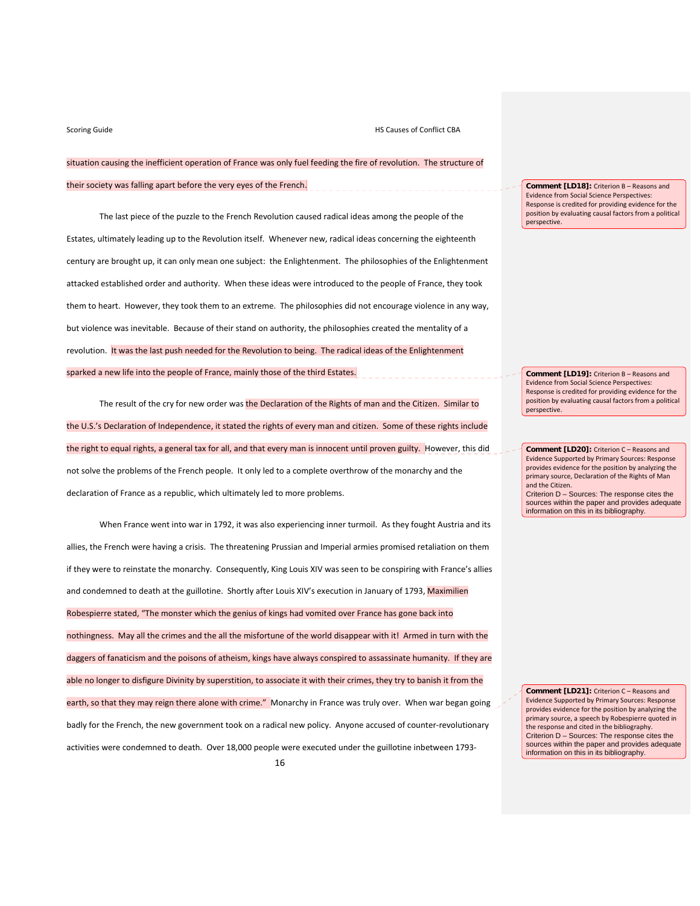Scoring Guide **CONFLICT CONFLICT CONFLICT CONFLICT CONFLICT CONFLICT CONFLICT CONFLICT CONFLICT CONFLICT CONFLICT CONFLICT CONFLICT CONFLICT CONFLICT CONFLICT CONFLICT CONFLICT CONFLICT CONFLICT CONFLICT CONFLICT CONFLICT** 

situation causing the inefficient operation of France was only fuel feeding the fire of revolution. The structure of

their society was falling apart before the very eyes of the French.

The last piece of the puzzle to the French Revolution caused radical ideas among the people of the Estates, ultimately leading up to the Revolution itself. Whenever new, radical ideas concerning the eighteenth century are brought up, it can only mean one subject: the Enlightenment. The philosophies of the Enlightenment attacked established order and authority. When these ideas were introduced to the people of France, they took them to heart. However, they took them to an extreme. The philosophies did not encourage violence in any way, but violence was inevitable. Because of their stand on authority, the philosophies created the mentality of a revolution. It was the last push needed for the Revolution to being. The radical ideas of the Enlightenment sparked a new life into the people of France, mainly those of the third Estates.

The result of the cry for new order was the Declaration of the Rights of man and the Citizen. Similar to the U.S.'s Declaration of Independence, it stated the rights of every man and citizen. Some of these rights include the right to equal rights, a general tax for all, and that every man is innocent until proven guilty. However, this did not solve the problems of the French people. It only led to a complete overthrow of the monarchy and the declaration of France as a republic, which ultimately led to more problems.

When France went into war in 1792, it was also experiencing inner turmoil. As they fought Austria and its allies, the French were having a crisis. The threatening Prussian and Imperial armies promised retaliation on them if they were to reinstate the monarchy. Consequently, King Louis XIV was seen to be conspiring with France's allies and condemned to death at the guillotine. Shortly after Louis XIV's execution in January of 1793, Maximilien Robespierre stated, "The monster which the genius of kings had vomited over France has gone back into nothingness. May all the crimes and the all the misfortune of the world disappear with it! Armed in turn with the daggers of fanaticism and the poisons of atheism, kings have always conspired to assassinate humanity. If they are able no longer to disfigure Divinity by superstition, to associate it with their crimes, they try to banish it from the earth, so that they may reign there alone with crime." Monarchy in France was truly over. When war began going badly for the French, the new government took on a radical new policy. Anyone accused of counter‐revolutionary activities were condemned to death. Over 18,000 people were executed under the guillotine inbetween 1793‐

**Comment [LD18]:** Criterion B – Reasons and Evidence from Social Science Perspectives: Response is credited for providing evidence for the position by evaluating causal factors from a political perspective.

**Comment [LD19]:** Criterion B – Reasons and Evidence from Social Science Perspectives: Response is credited for providing evidence for the position by evaluating causal factors from a political perspective.

**Comment [LD20]:** Criterion C – Reasons and Evidence Supported by Primary Sources: Response provides evidence for the position by analyzing the primary source, Declaration of the Rights of Man and the Citizen. Criterion D – Sources: The response cites the sources within the paper and provides adequate information on this in its bibliography.

**Comment [LD21]:** Criterion C – Reasons and Evidence Supported by Primary Sources: Response provides evidence for the position by analyzing the primary source, a speech by Robespierre quoted in the response and cited in the bibliography. Criterion D – Sources: The response cites the sources within the paper and provides adequate information on this in its bibliography.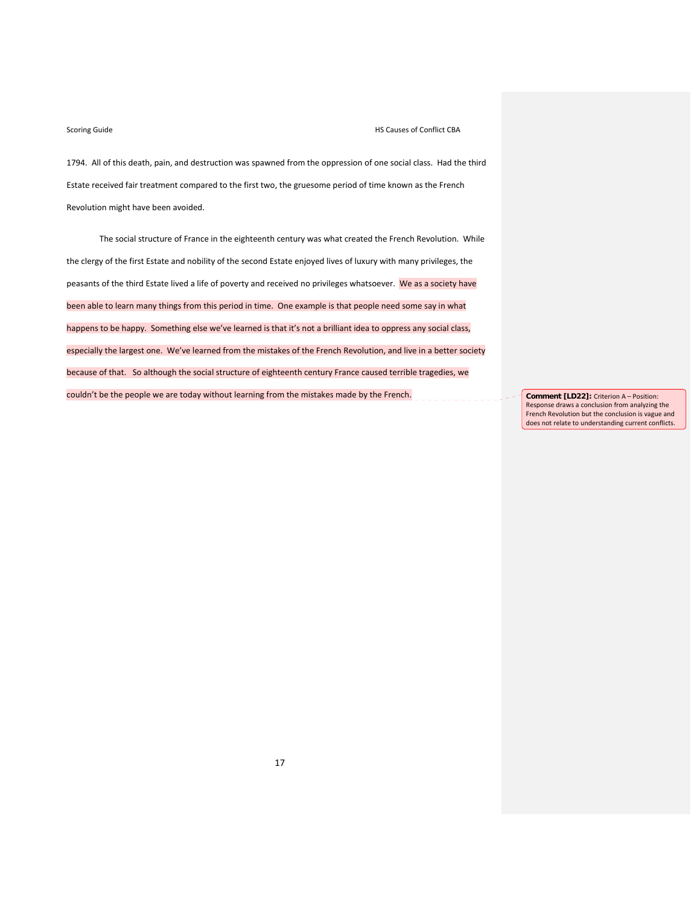1794. All of this death, pain, and destruction was spawned from the oppression of one social class. Had the third Estate received fair treatment compared to the first two, the gruesome period of time known as the French Revolution might have been avoided.

The social structure of France in the eighteenth century was what created the French Revolution. While the clergy of the first Estate and nobility of the second Estate enjoyed lives of luxury with many privileges, the peasants of the third Estate lived a life of poverty and received no privileges whatsoever. We as a society have been able to learn many things from this period in time. One example is that people need some say in what happens to be happy. Something else we've learned is that it's not a brilliant idea to oppress any social class, especially the largest one. We've learned from the mistakes of the French Revolution, and live in a better society because of that. So although the social structure of eighteenth century France caused terrible tragedies, we couldn't be the people we are today without learning from the mistakes made by the French. **Comment [LD22]:** Criterion A – Position:

Response draws a conclusion from analyzing the French Revolution but the conclusion is vague and does not relate to understanding current conflicts.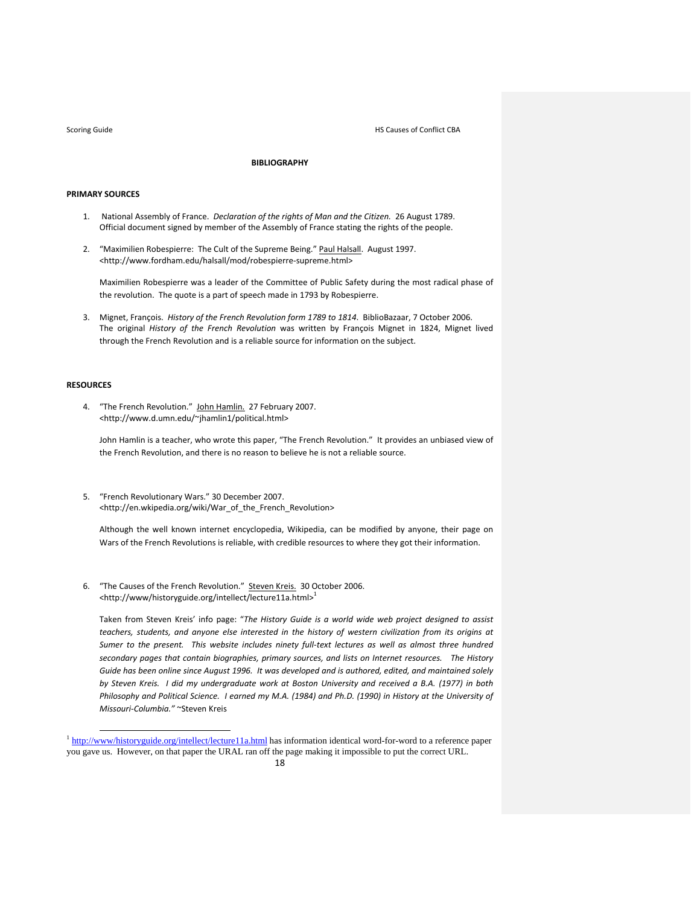Scoring Guide **CONFLICT CONFLICT CONFLICT CONFLICT CONFLICT CONFLICT CONFLICT CONFLICT CONFLICT CONFLICT CONFLICT CONFLICT CONFLICT CONFLICT CONFLICT CONFLICT CONFLICT CONFLICT CONFLICT CONFLICT CONFLICT CONFLICT CONFLICT** 

## **BIBLIOGRAPHY**

### **PRIMARY SOURCES**

- 1. National Assembly of France. *Declaration of the rights of Man and the Citizen.* 26 August 1789. Official document signed by member of the Assembly of France stating the rights of the people.
- 2. "Maximilien Robespierre: The Cult of the Supreme Being." Paul Halsall. August 1997. <http://www.fordham.edu/halsall/mod/robespierre‐supreme.html>

Maximilien Robespierre was a leader of the Committee of Public Safety during the most radical phase of the revolution. The quote is a part of speech made in 1793 by Robespierre.

3. Mignet, François. *History of the French Revolution form 1789 to 1814*. BiblioBazaar, 7 October 2006. The original *History of the French Revolution* was written by François Mignet in 1824, Mignet lived through the French Revolution and is a reliable source for information on the subject.

## **RESOURCES**

4. "The French Revolution." John Hamlin. 27 February 2007. <http://www.d.umn.edu/~jhamlin1/political.html>

John Hamlin is a teacher, who wrote this paper, "The French Revolution." It provides an unbiased view of the French Revolution, and there is no reason to believe he is not a reliable source.

5. "French Revolutionary Wars." 30 December 2007. <http://en.wkipedia.org/wiki/War\_of\_the\_French\_Revolution>

Although the well known internet encyclopedia, Wikipedia, can be modified by anyone, their page on Wars of the French Revolutions is reliable, with credible resources to where they got their information.

6. "The Causes of the French Revolution." Steven Kreis. 30 October 2006. <http://www/historyguide.org/intellect/lecture11a.html>1

Taken from Steven Kreis' info page: "*The History Guide is a world wide web project designed to assist teachers, students, and anyone else interested in the history of western civilization from its origins at* Sumer to the present. This website includes ninety full-text lectures as well as almost three hundred *secondary pages that contain biographies, primary sources, and lists on Internet resources. The History* Guide has been online since August 1996. It was developed and is authored, edited, and maintained solely by Steven Kreis. I did my undergraduate work at Boston University and received a B.A. (1977) in both Philosophy and Political Science. I earned my M.A. (1984) and Ph.D. (1990) in History at the University of *Missouri‐Columbia."* ~Steven Kreis

 <sup>1</sup> http://www/historyguide.org/intellect/lecture11a.html has information identical word-for-word to a reference paper you gave us. However, on that paper the URAL ran off the page making it impossible to put the correct URL.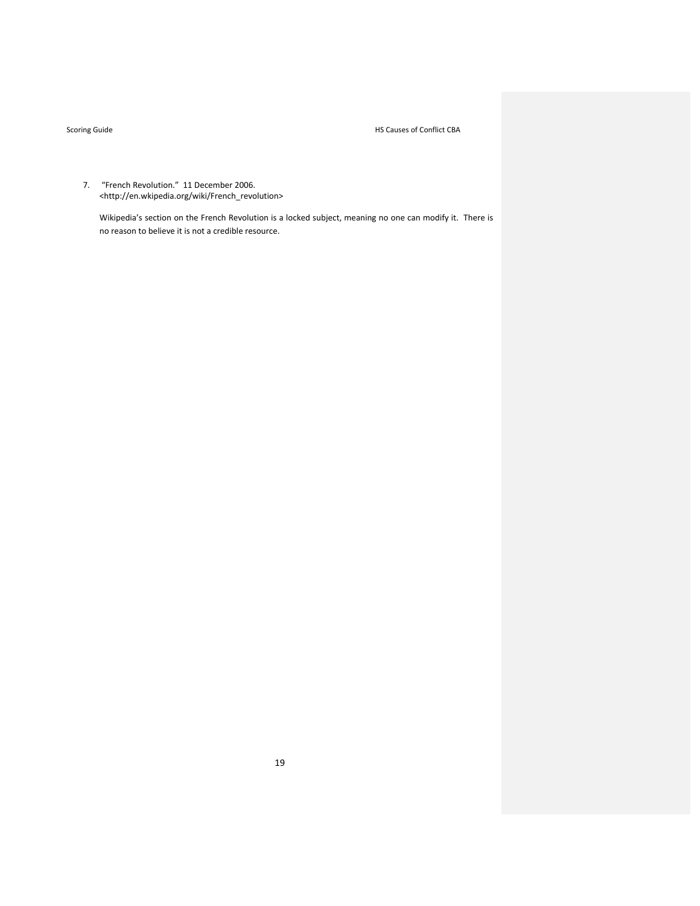Scoring Guide **Manufacture CONFIDENTIAL CONFIDENTIAL CONFIDENTIAL CONFIGURATION** HS Causes of Conflict CBA

7. "French Revolution." 11 December 2006. <http://en.wkipedia.org/wiki/French\_revolution>

Wikipedia's section on the French Revolution is a locked subject, meaning no one can modify it. There is no reason to believe it is not a credible resource.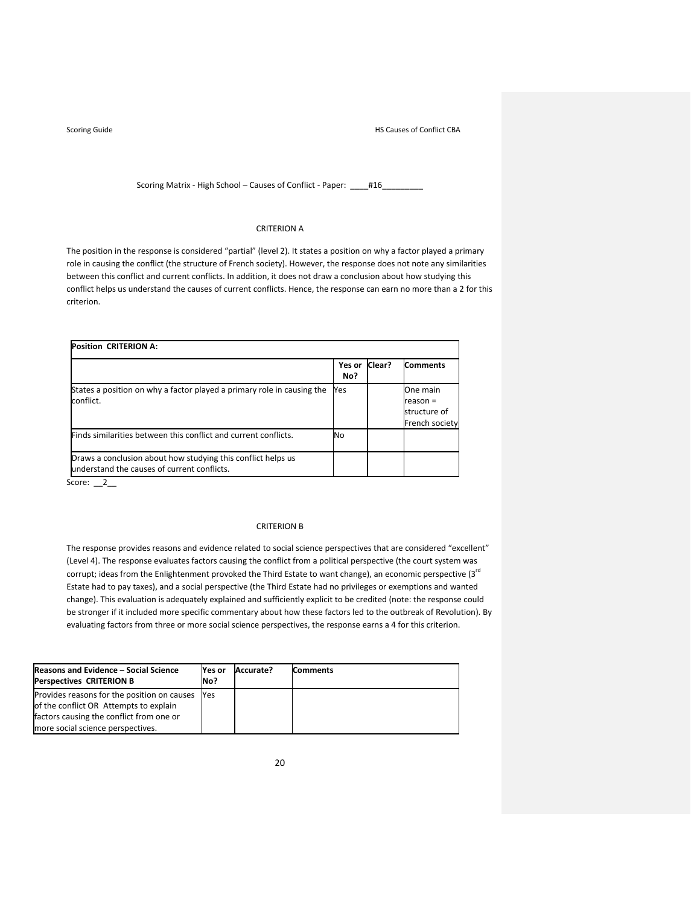Scoring Matrix - High School – Causes of Conflict - Paper: \_\_\_\_#16\_

### CRITERION A

The position in the response is considered "partial" (level 2). It states a position on why a factor played a primary role in causing the conflict (the structure of French society). However, the response does not note any similarities between this conflict and current conflicts. In addition, it does not draw a conclusion about how studying this conflict helps us understand the causes of current conflicts. Hence, the response can earn no more than a 2 for this criterion.

| <b>Position CRITERION A:</b>                                                                                |               |        |                                                          |  |  |
|-------------------------------------------------------------------------------------------------------------|---------------|--------|----------------------------------------------------------|--|--|
|                                                                                                             | Yes or<br>No? | Clear? | <b>Comments</b>                                          |  |  |
| States a position on why a factor played a primary role in causing the<br>conflict.                         | Yes           |        | One main<br>$reason =$<br>structure of<br>French society |  |  |
| Finds similarities between this conflict and current conflicts.                                             | No            |        |                                                          |  |  |
| Draws a conclusion about how studying this conflict helps us<br>understand the causes of current conflicts. |               |        |                                                          |  |  |

Score:  $2_$ 

### CRITERION B

The response provides reasons and evidence related to social science perspectives that are considered "excellent" (Level 4). The response evaluates factors causing the conflict from a political perspective (the court system was corrupt; ideas from the Enlightenment provoked the Third Estate to want change), an economic perspective (3<sup>rd</sup> Estate had to pay taxes), and a social perspective (the Third Estate had no privileges or exemptions and wanted change). This evaluation is adequately explained and sufficiently explicit to be credited (note: the response could be stronger if it included more specific commentary about how these factors led to the outbreak of Revolution). By evaluating factors from three or more social science perspectives, the response earns a 4 for this criterion.

| Reasons and Evidence - Social Science<br><b>Perspectives CRITERION B</b> | Nes or<br>No? | Accurate? | <b>Comments</b> |
|--------------------------------------------------------------------------|---------------|-----------|-----------------|
| Provides reasons for the position on causes                              | <b>Yes</b>    |           |                 |
| of the conflict OR Attempts to explain                                   |               |           |                 |
| factors causing the conflict from one or                                 |               |           |                 |
| more social science perspectives.                                        |               |           |                 |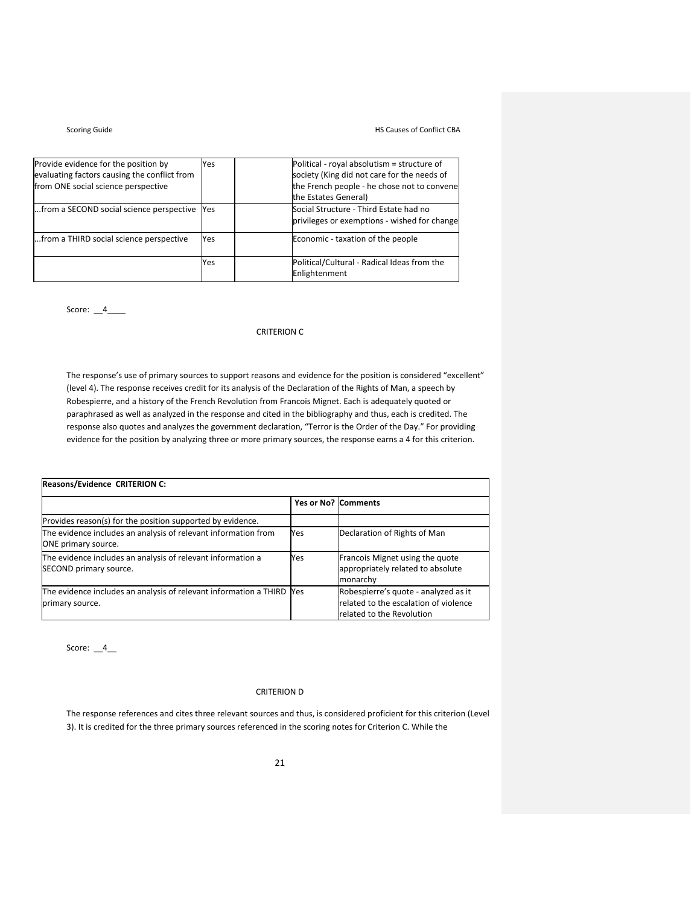# Scoring Guide **Manufacture CONFIDENTIAL CONFIDENTIAL CONFIDENTIAL CONFIGURATION** HS Causes of Conflict CBA

| Provide evidence for the position by<br>evaluating factors causing the conflict from<br>from ONE social science perspective | Yes        | Political - royal absolutism = structure of<br>society (King did not care for the needs of<br>the French people - he chose not to convene<br>the Estates General) |
|-----------------------------------------------------------------------------------------------------------------------------|------------|-------------------------------------------------------------------------------------------------------------------------------------------------------------------|
| from a SECOND social science perspective                                                                                    | <b>Yes</b> | Social Structure - Third Estate had no<br>privileges or exemptions - wished for change                                                                            |
| from a THIRD social science perspective                                                                                     | Yes        | Economic - taxation of the people                                                                                                                                 |
|                                                                                                                             | Yes        | Political/Cultural - Radical Ideas from the<br>Enlightenment                                                                                                      |

Score:  $-4$   $-$ 

## CRITERION C

The response's use of primary sources to support reasons and evidence for the position is considered "excellent" (level 4). The response receives credit for its analysis of the Declaration of the Rights of Man, a speech by Robespierre, and a history of the French Revolution from Francois Mignet. Each is adequately quoted or paraphrased as well as analyzed in the response and cited in the bibliography and thus, each is credited. The response also quotes and analyzes the government declaration, "Terror is the Order of the Day." For providing evidence for the position by analyzing three or more primary sources, the response earns a 4 for this criterion.

| Reasons/Evidence CRITERION C:                                                            |     |                                                                                                            |  |  |
|------------------------------------------------------------------------------------------|-----|------------------------------------------------------------------------------------------------------------|--|--|
|                                                                                          |     | Yes or No? Comments                                                                                        |  |  |
| Provides reason(s) for the position supported by evidence.                               |     |                                                                                                            |  |  |
| The evidence includes an analysis of relevant information from<br>ONE primary source.    | Yes | Declaration of Rights of Man                                                                               |  |  |
| The evidence includes an analysis of relevant information a<br>SECOND primary source.    | Yes | Francois Mignet using the quote<br>appropriately related to absolute<br>monarchy                           |  |  |
| The evidence includes an analysis of relevant information a THIRD Yes<br>primary source. |     | Robespierre's quote - analyzed as it<br>related to the escalation of violence<br>related to the Revolution |  |  |

Score:  $-4$ 

# CRITERION D

The response references and cites three relevant sources and thus, is considered proficient for this criterion (Level 3). It is credited for the three primary sources referenced in the scoring notes for Criterion C. While the